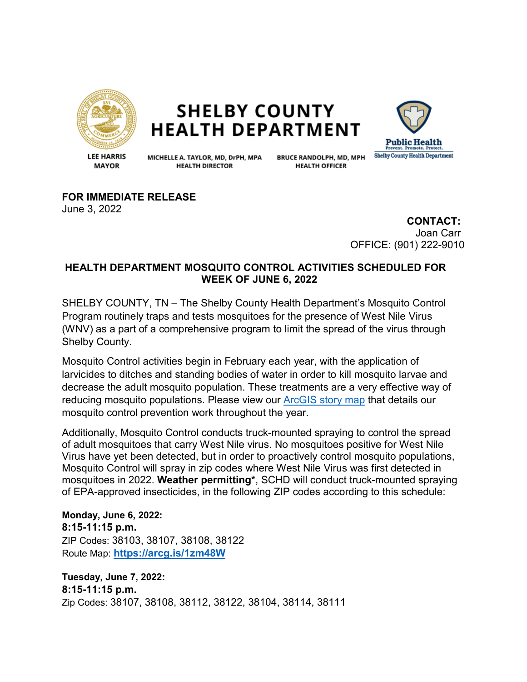

**SHELBY COUNTY HEALTH DEPARTMENT** 



**LEE HARRIS MAYOR** 

MICHELLE A. TAYLOR, MD, DrPH, MPA **HEALTH DIRECTOR** 

**BRUCE RANDOLPH, MD, MPH HEALTH OFFICER** 

**FOR IMMEDIATE RELEASE**

June 3, 2022

**CONTACT:** Joan Carr OFFICE: (901) 222-9010

## **HEALTH DEPARTMENT MOSQUITO CONTROL ACTIVITIES SCHEDULED FOR WEEK OF JUNE 6, 2022**

SHELBY COUNTY, TN – The Shelby County Health Department's Mosquito Control Program routinely traps and tests mosquitoes for the presence of West Nile Virus (WNV) as a part of a comprehensive program to limit the spread of the virus through Shelby County.

Mosquito Control activities begin in February each year, with the application of larvicides to ditches and standing bodies of water in order to kill mosquito larvae and decrease the adult mosquito population. These treatments are a very effective way of reducing mosquito populations. Please view our [ArcGIS story map](https://storymaps.arcgis.com/stories/135f4980f2f145b58b53e54fd497181d) that details our mosquito control prevention work throughout the year.

Additionally, Mosquito Control conducts truck-mounted spraying to control the spread of adult mosquitoes that carry West Nile virus. No mosquitoes positive for West Nile Virus have yet been detected, but in order to proactively control mosquito populations, Mosquito Control will spray in zip codes where West Nile Virus was first detected in mosquitoes in 2022. **Weather permitting\***, SCHD will conduct truck-mounted spraying of EPA-approved insecticides, in the following ZIP codes according to this schedule:

**Monday, June 6, 2022: 8:15-11:15 p.m.**  ZIP Codes: 38103, 38107, 38108, 38122 Route Map: **<https://arcg.is/1zm48W>**

**Tuesday, June 7, 2022: 8:15-11:15 p.m.**  Zip Codes: 38107, 38108, 38112, 38122, 38104, 38114, 38111